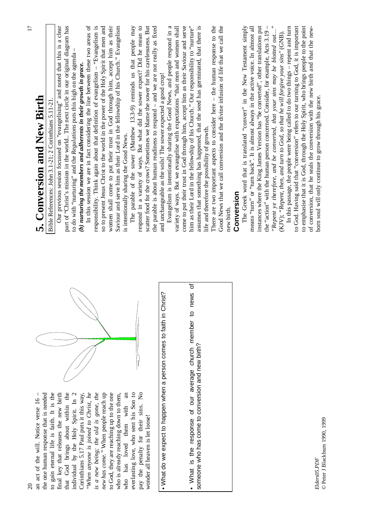| $\Omega$                                                                     | $\overline{17}$                                                                                                                                                |
|------------------------------------------------------------------------------|----------------------------------------------------------------------------------------------------------------------------------------------------------------|
| the one human response that is needed<br>an act of the will. Notice verse 16 | 5. Conversion and New Birth                                                                                                                                    |
| to gain eternal life is faith. It is the                                     | Bible References: John 3.1-21; 2 Corinthians 5.11-21.                                                                                                          |
| final key that releases the new birth                                        | Our previous session focussed on "evangelising" and noted that this is a clear                                                                                 |
| that God brings about within the<br>individual by the Holy Spirit. In 2      | part of "Christ's mission in the world. The next circle in our original diagram has<br>to do with "nurturing" and the Regulations puts this high on the agenda |
| Corinthians 5.17 Paul puts it this way,                                      | (b) nurturing the members and adherents in their growth in grace.                                                                                              |
| "When anyone is joined to Christ, he                                         | In this session we are in fact considering the line between these two areas of                                                                                 |
| is a new being; the old is gone, the                                         | responsibility. Think again about that definition of evangelism - "Evangelism is                                                                               |
| new has come." When people reach up                                          | so to present Jesus Christ to the world in the power of the Holy Spirit that men and                                                                           |
| to God, they are reaching up to the one                                      | women shall come to put their trust in God through him, accept him as their                                                                                    |
| who is already reaching down to them,                                        | Saviour and serve him as their Lord in the fellowship of his Church." Evangelism                                                                               |
| who has loved them with an                                                   | is intentionally sharing the Good News.                                                                                                                        |
| everlasting love, who sent his Son to                                        | The parable of the sower (Matthew 13.3-9) reminds us that people may                                                                                           |
| pay the penalty for their sins. No                                           | respond in a variety of ways. But what did the sower expect? Did he mean to                                                                                    |
| wonder all heaven is let loose!                                              | scatter food for the crows? Sometimes we blame the sower for his carelessness. But                                                                             |
|                                                                              | the parable is about human readiness to respond - and we are not really as fixed                                                                               |
| . What do we expect to happen when a person comes to faith in Christ?        | and unchangeable as the soils! The sower expected a good crop!                                                                                                 |
|                                                                              | Evangelism is intentionally sharing the Good News, and people respond in a                                                                                     |
|                                                                              | variety of ways. But we evangelise with expectations "that men and women shall                                                                                 |
|                                                                              | come to put their trust in God through him, accept him as their Saviour and serve                                                                              |
| ৳<br>. What is the response of our average church member to news             | him as their Lord in the fellowship of his Church." Our responsibility to "nurture"                                                                            |
| someone who has come to conversion and new birth?                            | assumes that something has happened, that the seed has germinated, that there is                                                                               |
|                                                                              | life and therefore the possibility of growth.                                                                                                                  |
|                                                                              | There are two important aspects to consider here $-$ the human response to the                                                                                 |
|                                                                              | Good News that we call conversion and the divine infusion of life that we call the                                                                             |
|                                                                              | new birth.                                                                                                                                                     |
|                                                                              | Conversion                                                                                                                                                     |
|                                                                              | The Greek word that is translated "convert" in the New Testament simply                                                                                        |
|                                                                              | means "turn" or "turn back". It is almost always in the active voice. In almost all                                                                            |
|                                                                              | instances where the King James Version has "be converted", other translations put                                                                              |
|                                                                              | the "action" with the human person concerned. Consider, for example, Acts 3.19 -                                                                               |
|                                                                              | $\ddot{\phantom{0}}$<br>"Repent ye therefore, and be converted, that your sins may be blotted out                                                              |
|                                                                              | (KJV); "Repent, then, and turn to God, so that he will forgive your sins" (GNB).                                                                               |
|                                                                              | In this passage, the people were being called to do two things - repent and turn                                                                               |
|                                                                              | to God. Having said that "conversion" refers to our turning to God, it is important                                                                            |
|                                                                              | to emphasise that it is God, through the Holy Spirit, who brings people to the point                                                                           |
|                                                                              | of conversion, that he seals the conversion with the new birth and that the new-                                                                               |
| Elders05.PDF                                                                 | born soul will only continue to grow through his grace.                                                                                                        |

*Elders05.PDF* © Peter J Blackburn 1990, 1999